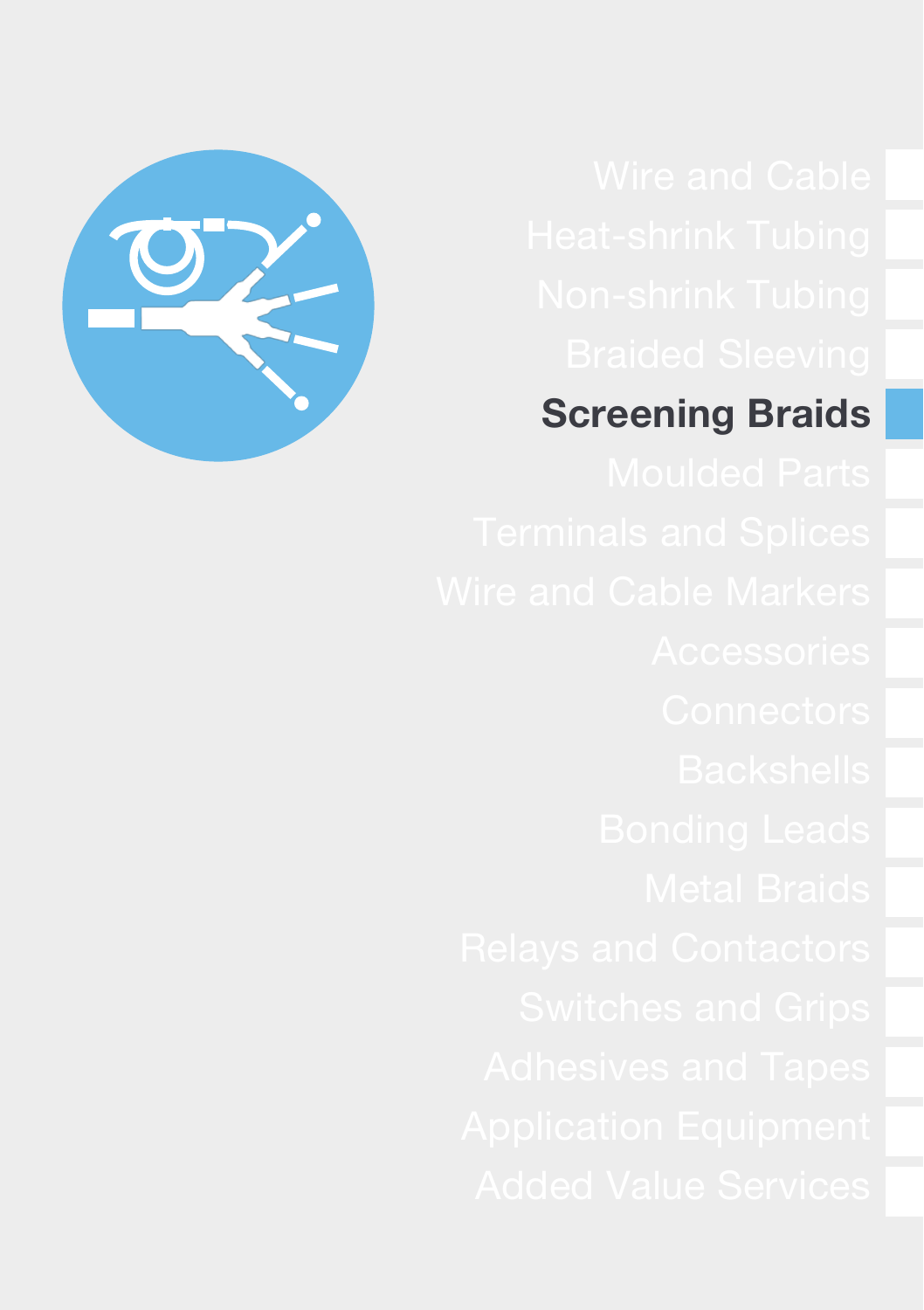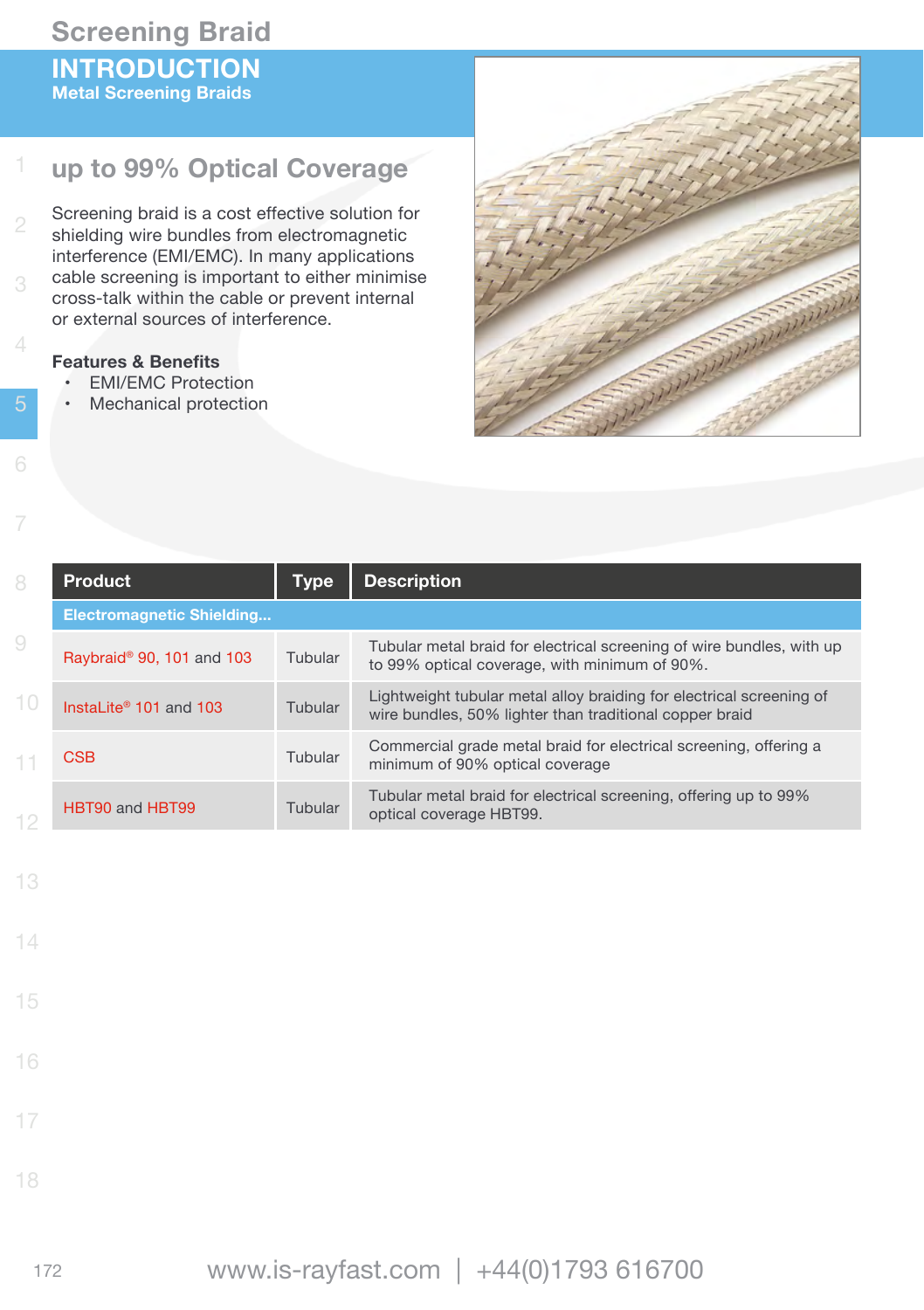## **Screening Braid INTRODUCTION Metal Screening Braids**

#### 1 **up to 99% Optical Coverage**

Screening braid is a cost effective solution for shielding wire bundles from electromagnetic interference (EMI/EMC). In many applications cable screening is important to either minimise cross-talk within the cable or prevent internal or external sources of interference.

#### **Features & Benefits**

- • EMI/EMC Protection
- • Mechanical protection



| 8  | <b>Product</b>                        | Type    | <b>Description</b>                                                                                                              |
|----|---------------------------------------|---------|---------------------------------------------------------------------------------------------------------------------------------|
|    | <b>Electromagnetic Shielding</b>      |         |                                                                                                                                 |
| 9  | Raybraid <sup>®</sup> 90, 101 and 103 | Tubular | Tubular metal braid for electrical screening of wire bundles, with up<br>to 99% optical coverage, with minimum of 90%.          |
|    | InstaLite <sup>®</sup> 101 and 103    | Tubular | Lightweight tubular metal alloy braiding for electrical screening of<br>wire bundles, 50% lighter than traditional copper braid |
| 11 | <b>CSB</b>                            | Tubular | Commercial grade metal braid for electrical screening, offering a<br>minimum of 90% optical coverage                            |
| 10 | HBT90 and HBT99                       | Tubular | Tubular metal braid for electrical screening, offering up to 99%<br>optical coverage HBT99.                                     |

13

4

- 14
- 15
- 

- 17
- 
- 18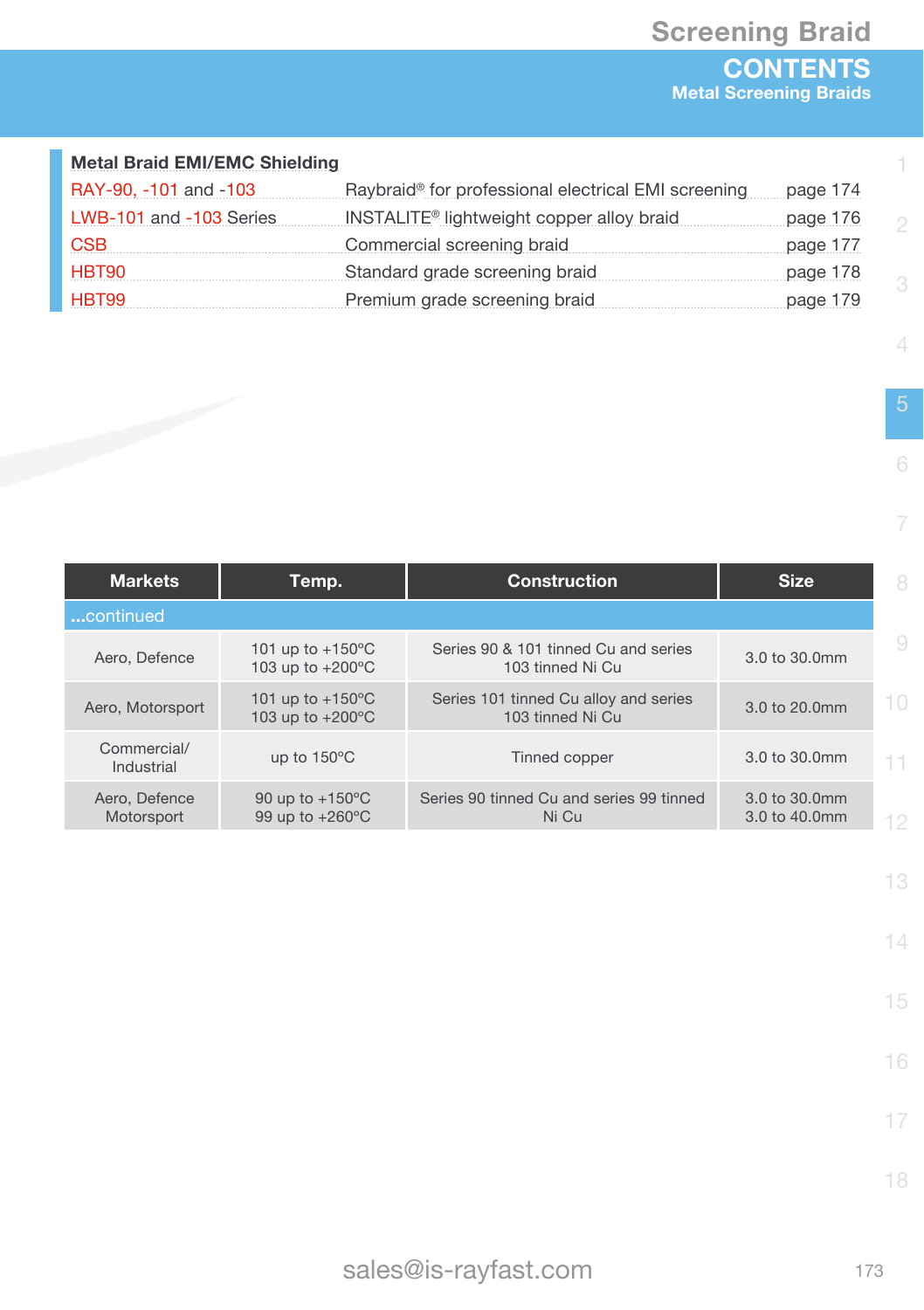#### **Metal Braid EMI/EMC Shielding**

| RAY-90, -101 and -103   | Raybraid® for professional electrical EMI screening   | page 174 |
|-------------------------|-------------------------------------------------------|----------|
| LWB-101 and -103 Series | INSTALITE <sup>®</sup> lightweight copper alloy braid | page 176 |
| <b>CSB</b>              | Commercial screening braid                            | page 177 |
| HBT90                   | Standard grade screening braid                        | page 178 |
| HBT99                   | Premium grade screening braid                         | page 179 |

4

1

6

7

| <b>Markets</b>              | Temp.                                                    | <b>Construction</b>                                       | <b>Size</b>                    | 8      |
|-----------------------------|----------------------------------------------------------|-----------------------------------------------------------|--------------------------------|--------|
| continued                   |                                                          |                                                           |                                |        |
| Aero, Defence               | 101 up to $+150^{\circ}$ C<br>103 up to +200°C           | Series 90 & 101 tinned Cu and series<br>103 tinned Ni Cu  | 3.0 to 30.0mm                  | 9      |
| Aero, Motorsport            | 101 up to $+150^{\circ}$ C<br>103 up to $+200^{\circ}$ C | Series 101 tinned Cu alloy and series<br>103 tinned Ni Cu | 3.0 to 20.0mm                  | $10 -$ |
| Commercial/<br>Industrial   | up to 150°C                                              | Tinned copper                                             | 3.0 to 30.0mm                  | 11.    |
| Aero, Defence<br>Motorsport | 90 up to $+150^{\circ}$ C<br>99 up to $+260^{\circ}$ C   | Series 90 tinned Cu and series 99 tinned<br>Ni Cu         | 3.0 to 30.0mm<br>3.0 to 40.0mm | 12     |

13

14

15

16

17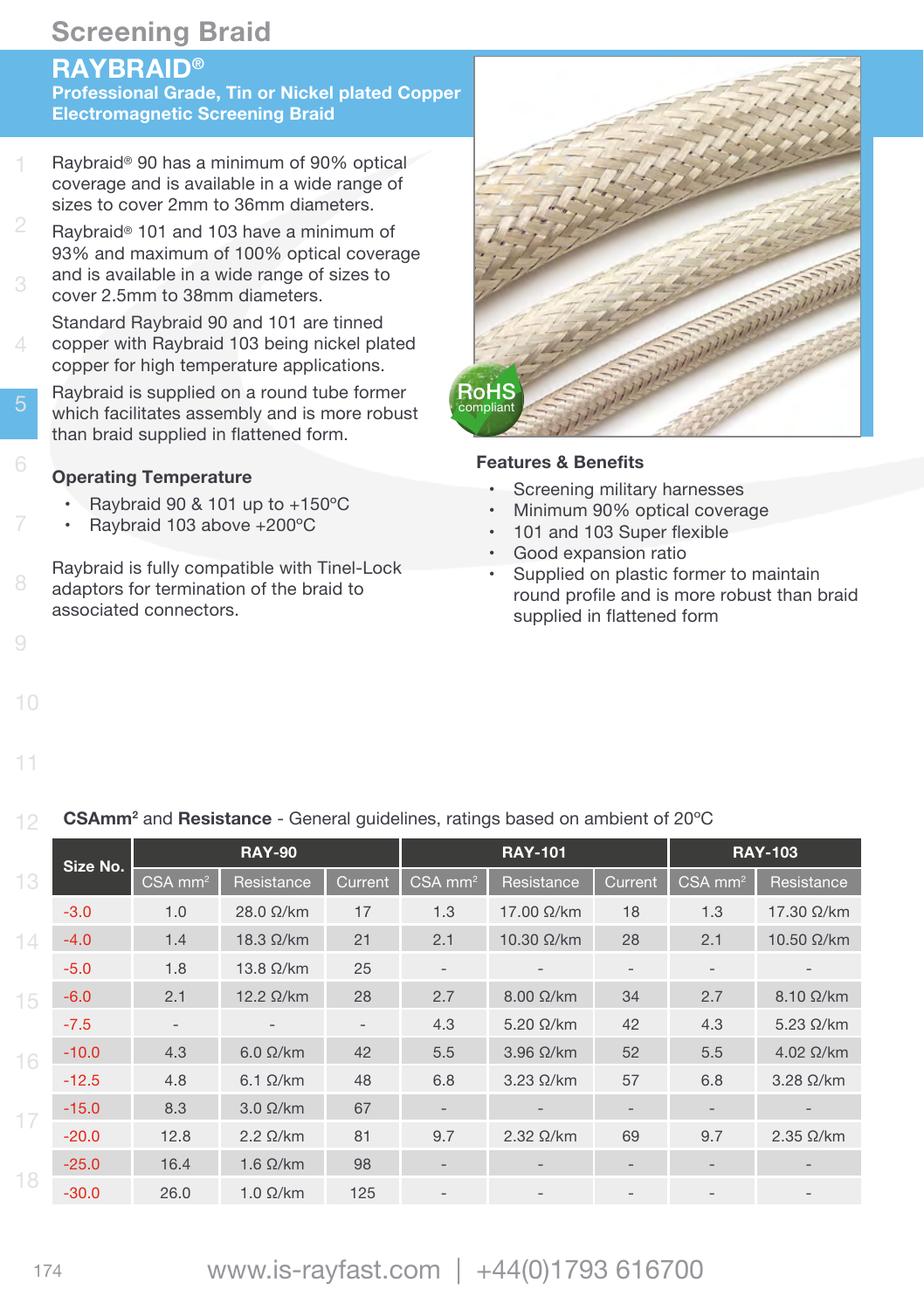## **RAYBRAID®**

**Professional Grade, Tin or Nickel plated Copper Electromagnetic Screening Braid**

- 1 Raybraid® 90 has a minimum of 90% optical coverage and is available in a wide range of sizes to cover 2mm to 36mm diameters.
- Raybraid® 101 and 103 have a minimum of 93% and maximum of 100% optical coverage and is available in a wide range of sizes to cover 2.5mm to 38mm diameters.
- 4 Standard Raybraid 90 and 101 are tinned copper with Raybraid 103 being nickel plated copper for high temperature applications.
- Raybraid is supplied on a round tube former which facilitates assembly and is more robust than braid supplied in flattened form.

#### **Operating Temperature**

- Raybraid 90 & 101 up to  $+150^{\circ}$ C
- Raybraid 103 above +200°C
- Raybraid is fully compatible with Tinel-Lock adaptors for termination of the braid to associated connectors.



#### **Features & Benefits**

- Screening military harnesses
- Minimum 90% optical coverage
- 101 and 103 Super flexible
- Good expansion ratio
- Supplied on plastic former to maintain round profile and is more robust than braid supplied in flattened form

12 **CSAmm2** and **Resistance** - General guidelines, ratings based on ambient of 20ºC

|    | Size No. |                          | <b>RAY-90</b>     |                          |                                          | <b>RAY-101</b>    |                   |                   | <b>RAY-103</b>     |
|----|----------|--------------------------|-------------------|--------------------------|------------------------------------------|-------------------|-------------------|-------------------|--------------------|
| 13 |          | $CSA \overline{mm^2}$    | Resistance        | Current                  | $\textsf{CSA}\ \overline{\textsf{mm}^2}$ | Resistance        | Current,          | $CSA$ $mm2$       | Resistance         |
|    | $-3.0$   | 1.0                      | $28.0 \Omega/km$  | 17                       | 1.3                                      | 17.00 Ω/km        | 18                | 1.3               | 17.30 Ω/km         |
| 14 | $-4.0$   | 1.4                      | $18.3 \Omega/km$  | 21                       | 2.1                                      | 10.30 Ω/km        | 28                | 2.1               | 10.50 $\Omega$ /km |
|    | $-5.0$   | 1.8                      | $13.8 \Omega/km$  | 25                       | $\overline{\phantom{a}}$                 |                   | $\qquad \qquad -$ | $\qquad \qquad -$ |                    |
| 15 | $-6.0$   | 2.1                      | $12.2 \Omega/km$  | 28                       | 2.7                                      | $8.00 \Omega/km$  | 34                | 2.7               | $8.10 \Omega/km$   |
|    | $-7.5$   | $\overline{\phantom{a}}$ | $\qquad \qquad =$ | $\overline{\phantom{a}}$ | 4.3                                      | $5.20 \Omega/km$  | 42                | 4.3               | $5.23 \Omega/km$   |
| 16 | $-10.0$  | 4.3                      | $6.0 \Omega/km$   | 42                       | 5.5                                      | $3.96 \Omega/km$  | 52                | 5.5               | $4.02 \Omega/km$   |
|    | $-12.5$  | 4.8                      | $6.1 \Omega/km$   | 48                       | 6.8                                      | $3.23 \Omega/km$  | 57                | 6.8               | $3.28 \Omega/km$   |
| 17 | $-15.0$  | 8.3                      | $3.0 \Omega/km$   | 67                       | $\overline{\phantom{a}}$                 | $\qquad \qquad -$ | $\qquad \qquad -$ | $\qquad \qquad -$ |                    |
|    | $-20.0$  | 12.8                     | $2.2 \Omega/km$   | 81                       | 9.7                                      | $2.32 \Omega/km$  | 69                | 9.7               | $2.35 \Omega/km$   |
|    | $-25.0$  | 16.4                     | $1.6 \Omega/km$   | 98                       |                                          | $\qquad \qquad -$ | $\qquad \qquad -$ |                   |                    |
| 18 | $-30.0$  | 26.0                     | $1.0 \Omega/km$   | 125                      |                                          |                   |                   |                   |                    |

10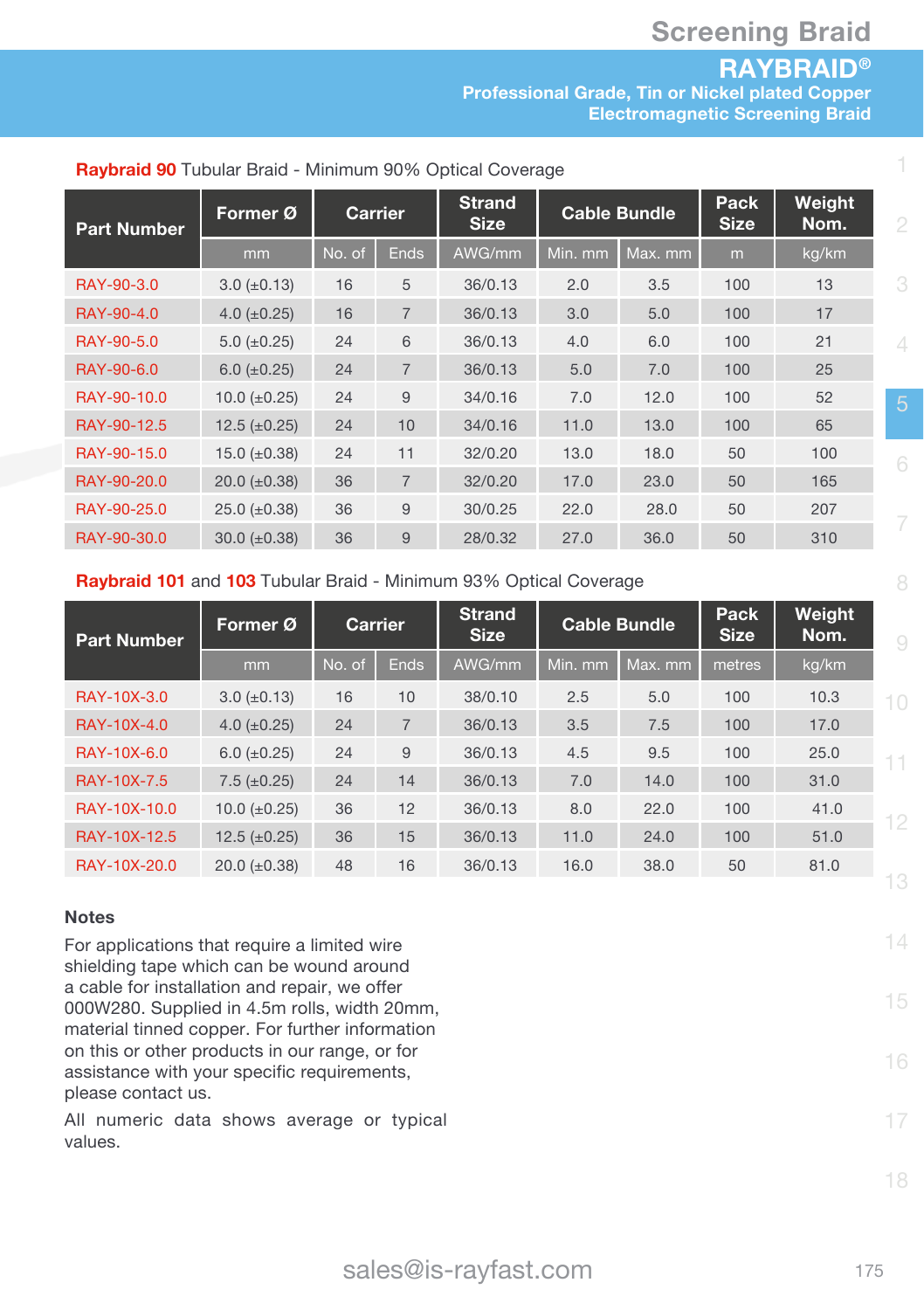## **RAYBRAID®**

**Professional Grade, Tin or Nickel plated Copper Electromagnetic Screening Braid**

| <b>Part Number</b> | Former Ø            |        | <b>Carrier</b> | <b>Strand</b><br><b>Size</b> |         | <b>Cable Bundle</b> | Pack<br><b>Size</b> | Weight<br>Nom. | ٤        |
|--------------------|---------------------|--------|----------------|------------------------------|---------|---------------------|---------------------|----------------|----------|
|                    | mm                  | No. of | <b>Ends</b>    | AWG/mm                       | Min. mm | Max. mm             | m                   | kg/km          |          |
| RAY-90-3.0         | $3.0 \ (\pm 0.13)$  | 16     | 5              | 36/0.13                      | 2.0     | 3.5                 | 100                 | 13             | G        |
| RAY-90-4.0         | 4.0 $(\pm 0.25)$    | 16     | $\overline{7}$ | 36/0.13                      | 3.0     | 5.0                 | 100                 | 17             |          |
| RAY-90-5.0         | 5.0 $(\pm 0.25)$    | 24     | 6              | 36/0.13                      | 4.0     | 6.0                 | 100                 | 21             | $\angle$ |
| RAY-90-6.0         | $6.0 (\pm 0.25)$    | 24     | $\overline{7}$ | 36/0.13                      | 5.0     | 7.0                 | 100                 | 25             |          |
| RAY-90-10.0        | 10.0 $(\pm 0.25)$   | 24     | 9              | 34/0.16                      | 7.0     | 12.0                | 100                 | 52             |          |
| RAY-90-12.5        | 12.5 $(\pm 0.25)$   | 24     | 10             | 34/0.16                      | 11.0    | 13.0                | 100                 | 65             |          |
| RAY-90-15.0        | 15.0 $(\pm 0.38)$   | 24     | 11             | 32/0.20                      | 13.0    | 18.0                | 50                  | 100            |          |
| RAY-90-20.0        | $20.0 \ (\pm 0.38)$ | 36     | $\overline{7}$ | 32/0.20                      | 17.0    | 23.0                | 50                  | 165            |          |
| RAY-90-25.0        | $25.0 \ (\pm 0.38)$ | 36     | 9              | 30/0.25                      | 22.0    | 28.0                | 50                  | 207            |          |
| RAY-90-30.0        | $30.0 \ (\pm 0.38)$ | 36     | 9              | 28/0.32                      | 27.0    | 36.0                | 50                  | 310            |          |

#### **Raybraid 90** Tubular Braid - Minimum 90% Optical Coverage

#### **Raybraid 101** and **103** Tubular Braid - Minimum 93% Optical Coverage

| <b>Part Number</b> | Former Ø            |        | Carrier        | <b>Strand</b><br><b>Size</b> | <b>Cable Bundle</b> |         | <b>Pack</b><br><b>Size</b> | Weight<br>Nom. | 9   |
|--------------------|---------------------|--------|----------------|------------------------------|---------------------|---------|----------------------------|----------------|-----|
|                    | mm                  | No. of | <b>Ends</b>    | AWG/mm                       | Min. mm             | Max. mm | metres                     | kg/km          |     |
| RAY-10X-3.0        | $3.0 \ (\pm 0.13)$  | 16     | 10             | 38/0.10                      | 2.5                 | 5.0     | 100                        | 10.3           | 10  |
| RAY-10X-4.0        | 4.0 $(\pm 0.25)$    | 24     | $\overline{7}$ | 36/0.13                      | 3.5                 | 7.5     | 100                        | 17.0           |     |
| RAY-10X-6.0        | 6.0 $(\pm 0.25)$    | 24     | 9              | 36/0.13                      | 4.5                 | 9.5     | 100                        | 25.0           | 11. |
| RAY-10X-7.5        | $7.5 \ (\pm 0.25)$  | 24     | 14             | 36/0.13                      | 7.0                 | 14.0    | 100                        | 31.0           |     |
| RAY-10X-10.0       | 10.0 $(\pm 0.25)$   | 36     | 12             | 36/0.13                      | 8.0                 | 22.0    | 100                        | 41.0           | 12  |
| RAY-10X-12.5       | $12.5 (\pm 0.25)$   | 36     | 15             | 36/0.13                      | 11.0                | 24.0    | 100                        | 51.0           |     |
| RAY-10X-20.0       | $20.0 \ (\pm 0.38)$ | 48     | 16             | 36/0.13                      | 16.0                | 38.0    | 50                         | 81.0           |     |
|                    |                     |        |                |                              |                     |         |                            |                | 13  |

#### **Notes**

For applications that require a limited wire shielding tape which can be wound around a cable for installation and repair, we offer 000W280. Supplied in 4.5m rolls, width 20mm, material tinned copper. For further information on this or other products in our range, or for assistance with your specific requirements, please contact us.

All numeric data shows average or typical values.

14

15

16

17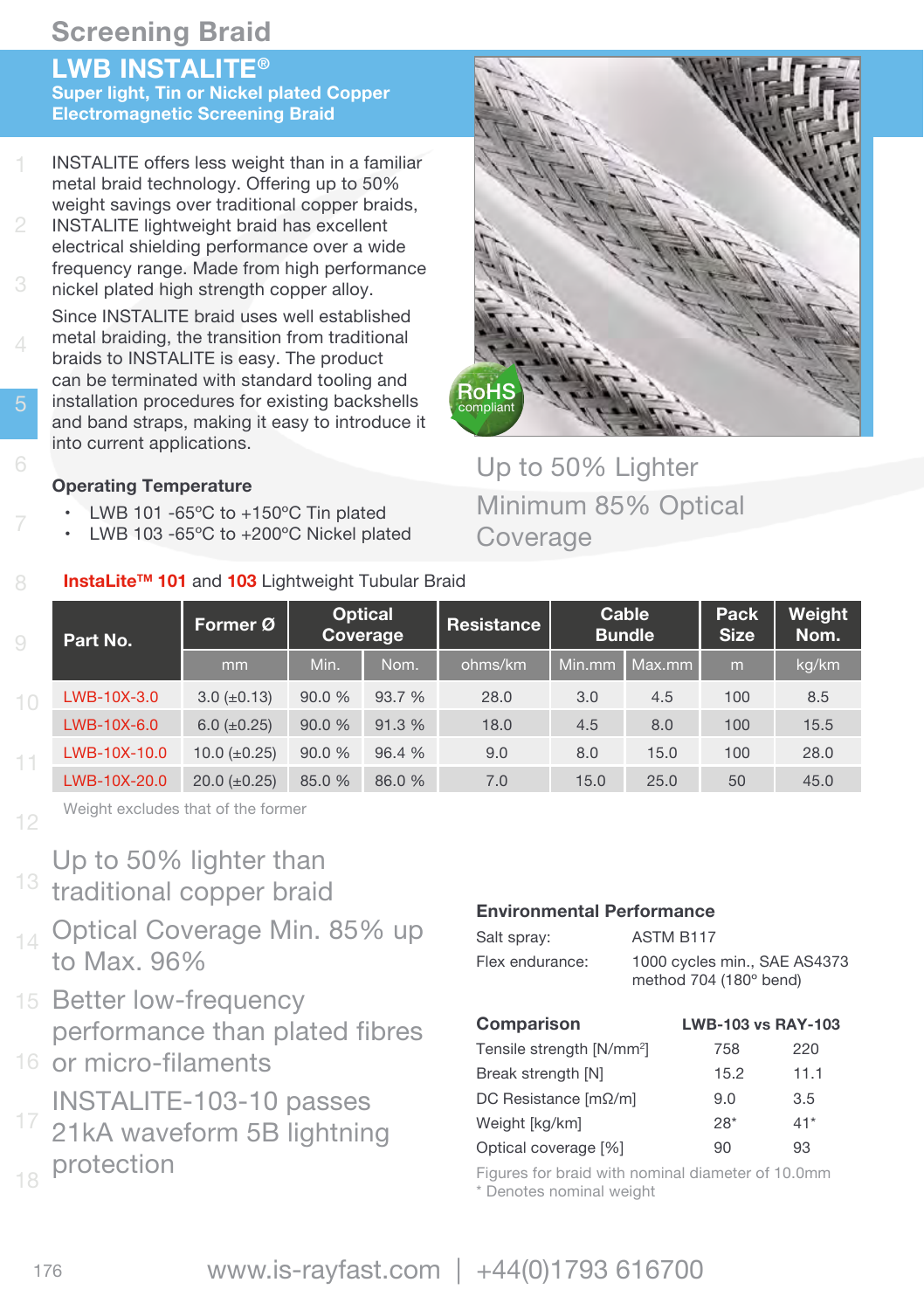## **LWB INSTALITE®**

**Super light, Tin or Nickel plated Copper Electromagnetic Screening Braid**

- 1 INSTALITE offers less weight than in a familiar metal braid technology. Offering up to 50% weight savings over traditional copper braids,
- INSTALITE lightweight braid has excellent electrical shielding performance over a wide frequency range. Made from high performance nickel plated high strength copper alloy.

4 Since INSTALITE braid uses well established metal braiding, the transition from traditional braids to INSTALITE is easy. The product can be terminated with standard tooling and installation procedures for existing backshells and band straps, making it easy to introduce it into current applications.

## **Operating Temperature**

- LWB 101 -65 $\degree$ C to +150 $\degree$ C Tin plated
- LWB 103 -65°C to +200°C Nickel plated

## **Instal ite™ 101 and 103 Lightweight Tubular Braid**



## Up to 50% Lighter Minimum 85% Optical Coverage

| Part No.<br>9 |              | Former Ø           |        | <b>Optical</b><br>Coverage | Resistance | <b>Bundle</b> | Cable  | Pack<br><b>Size</b> | Weight<br>Nom. |
|---------------|--------------|--------------------|--------|----------------------------|------------|---------------|--------|---------------------|----------------|
|               |              | mm                 | Min.   | Nom.                       | ohms/km    | Min.mm        | Max.mm | $\mathsf{m}$        | kg/km          |
| 10            | LWB-10X-3.0  | $3.0 \ (\pm 0.13)$ | 90.0 % | 93.7 %                     | 28.0       | 3.0           | 4.5    | 100                 | 8.5            |
|               | LWB-10X-6.0  | $6.0 (\pm 0.25)$   | 90.0%  | 91.3 %                     | 18.0       | 4.5           | 8.0    | 100                 | 15.5           |
| 11            | LWB-10X-10.0 | 10.0 $(\pm 0.25)$  | 90.0 % | 96.4 %                     | 9.0        | 8.0           | 15.0   | 100                 | 28.0           |
|               | LWB-10X-20.0 | $20.0 (\pm 0.25)$  | 85.0 % | 86.0 %                     | 7.0        | 15.0          | 25.0   | 50                  | 45.0           |

Weight excludes that of the former

- Up to 50% lighter than
- <sup>13</sup> traditional copper braid
- 14 Optical Coverage Min. 85% up to Max. 96%
- 15 Better low-frequency performance than plated fibres
- 16 or micro-filaments INSTALITE-103-10 passes
- 21kA waveform 5B lightning protection

#### **Environmental Performance**

| Salt spray:     | ASTM B117                                              |
|-----------------|--------------------------------------------------------|
| Flex endurance: | 1000 cycles min., SAE AS4373<br>method 704 (180° bend) |

| Comparison                            | <b>LWB-103 vs RAY-103</b> |       |
|---------------------------------------|---------------------------|-------|
| Tensile strength [N/mm <sup>2</sup> ] | 758                       | 220   |
| Break strength [N]                    | 15.2                      | 11.1  |
| DC Resistance $[m\Omega/m]$           | 9.0                       | 3.5   |
| Weight [kg/km]                        | $28*$                     | $41*$ |
| Optical coverage [%]                  | 90                        | 93    |

Figures for braid with nominal diameter of 10.0mm \* Denotes nominal weight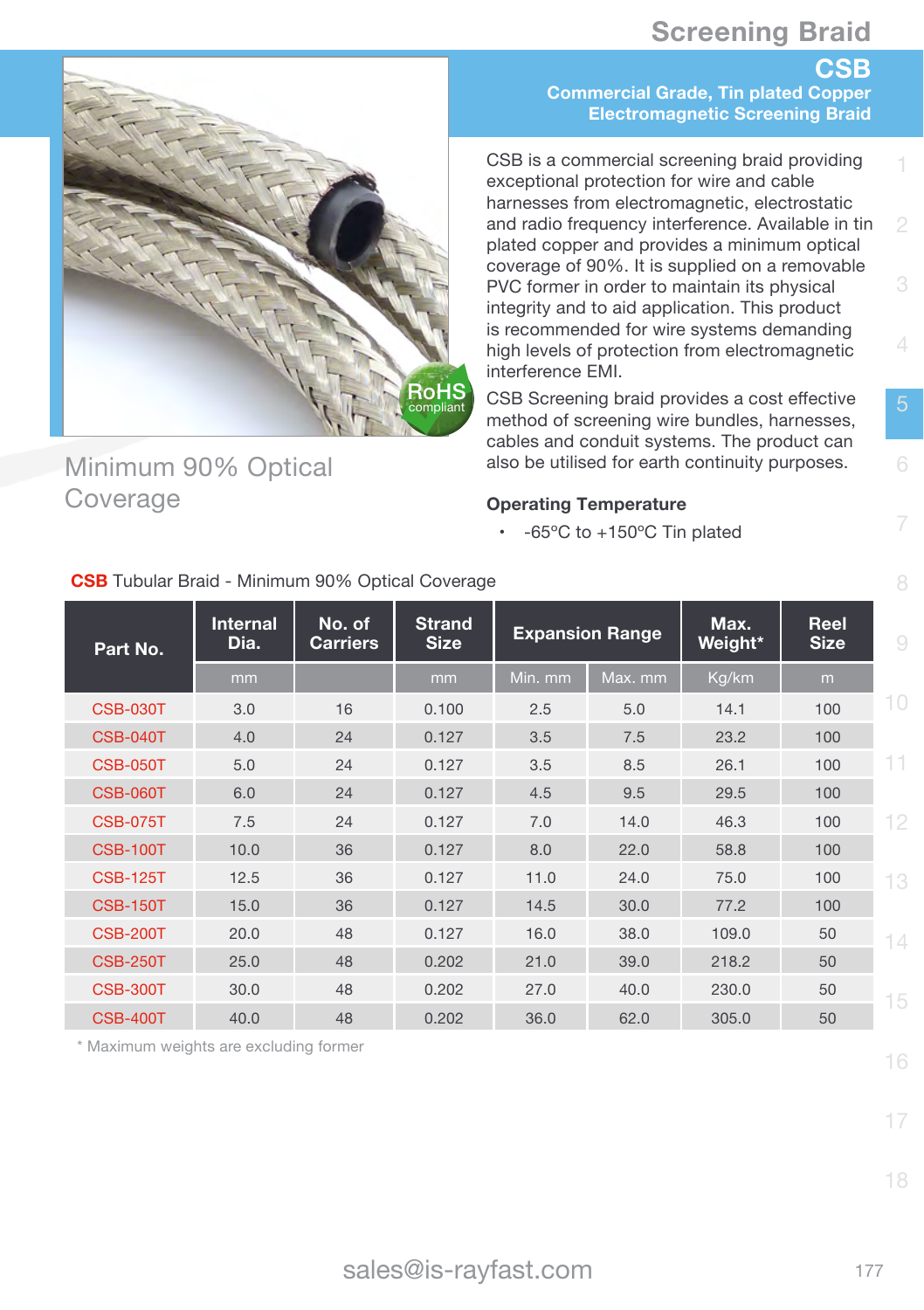**CSB**



## Minimum 90% Optical Coverage

**Commercial Grade, Tin plated Copper Electromagnetic Screening Braid**

CSB is a commercial screening braid providing exceptional protection for wire and cable harnesses from electromagnetic, electrostatic and radio frequency interference. Available in tin plated copper and provides a minimum optical coverage of 90%. It is supplied on a removable PVC former in order to maintain its physical integrity and to aid application. This product is recommended for wire systems demanding high levels of protection from electromagnetic interference EMI.

CSB Screening braid provides a cost effective method of screening wire bundles, harnesses, cables and conduit systems. The product can also be utilised for earth continuity purposes.

#### **Operating Temperature**

- $65^{\circ}$ C to  $+150^{\circ}$ C Tin plated

| Part No.        | <b>Internal</b><br>Dia. | No. of<br><b>Carriers</b> | <b>Strand</b><br><b>Size</b> |         | <b>Expansion Range</b> | Max.<br>Weight* | Reel<br><b>Size</b> | 9  |
|-----------------|-------------------------|---------------------------|------------------------------|---------|------------------------|-----------------|---------------------|----|
|                 | mm                      |                           | mm                           | Min. mm | Max. mm                | Kg/km           | m                   |    |
| <b>CSB-030T</b> | 3.0                     | 16                        | 0.100                        | 2.5     | 5.0                    | 14.1            | 100                 | 10 |
| <b>CSB-040T</b> | 4.0                     | 24                        | 0.127                        | 3.5     | 7.5                    | 23.2            | 100                 |    |
| <b>CSB-050T</b> | 5.0                     | 24                        | 0.127                        | 3.5     | 8.5                    | 26.1            | 100                 | 11 |
| <b>CSB-060T</b> | 6.0                     | 24                        | 0.127                        | 4.5     | 9.5                    | 29.5            | 100                 |    |
| <b>CSB-075T</b> | 7.5                     | 24                        | 0.127                        | 7.0     | 14.0                   | 46.3            | 100                 | 12 |
| <b>CSB-100T</b> | 10.0                    | 36                        | 0.127                        | 8.0     | 22.0                   | 58.8            | 100                 |    |
| <b>CSB-125T</b> | 12.5                    | 36                        | 0.127                        | 11.0    | 24.0                   | 75.0            | 100                 | 13 |
| <b>CSB-150T</b> | 15.0                    | 36                        | 0.127                        | 14.5    | 30.0                   | 77.2            | 100                 |    |
| <b>CSB-200T</b> | 20.0                    | 48                        | 0.127                        | 16.0    | 38.0                   | 109.0           | 50                  | 14 |
| <b>CSB-250T</b> | 25.0                    | 48                        | 0.202                        | 21.0    | 39.0                   | 218.2           | 50                  |    |
| <b>CSB-300T</b> | 30.0                    | 48                        | 0.202                        | 27.0    | 40.0                   | 230.0           | 50                  | 15 |
| <b>CSB-400T</b> | 40.0                    | 48                        | 0.202                        | 36.0    | 62.0                   | 305.0           | 50                  |    |

**CSB** Tubular Braid - Minimum 90% Optical Coverage

\* Maximum weights are excluding former

16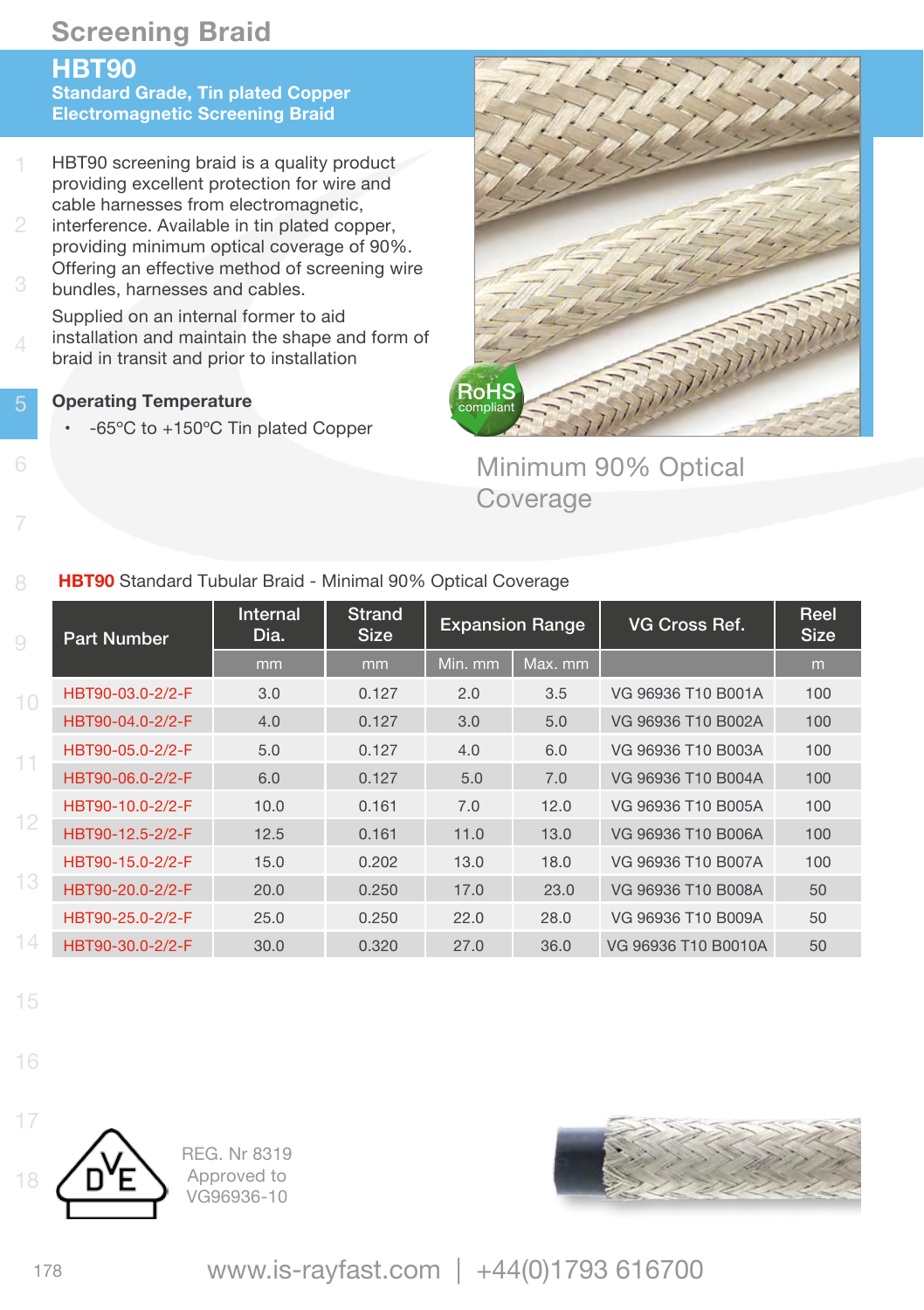### **HBT90**

**Standard Grade, Tin plated Copper Electromagnetic Screening Braid**

- 1 HBT90 screening braid is a quality product providing excellent protection for wire and cable harnesses from electromagnetic,
- interference. Available in tin plated copper, providing minimum optical coverage of 90%. Offering an effective method of screening wire bundles, harnesses and cables.
- 4 Supplied on an internal former to aid installation and maintain the shape and form of braid in transit and prior to installation
- **Operating Temperature** 
	- • -65ºC to +150ºC Tin plated Copper



Minimum 90% Optical Coverage

#### **HBT90** Standard Tubular Braid - Minimal 90% Optical Coverage

| 9        | <b>Part Number</b> | Internal<br>Dia. | Strand<br><b>Size</b> |         | <b>Expansion Range</b> | VG Cross Ref.       | Reel<br><b>Size</b> |
|----------|--------------------|------------------|-----------------------|---------|------------------------|---------------------|---------------------|
|          |                    | mm               | mm                    | Min. mm | Max. mm                |                     | m                   |
| 10       | HBT90-03.0-2/2-F   | 3.0              | 0.127                 | 2.0     | 3.5                    | VG 96936 T10 B001A  | 100                 |
|          | HBT90-04.0-2/2-F   | 4.0              | 0.127                 | 3.0     | 5.0                    | VG 96936 T10 B002A  | 100                 |
| 11       | HBT90-05.0-2/2-F   | 5.0              | 0.127                 | 4.0     | 6.0                    | VG 96936 T10 B003A  | 100                 |
|          | HBT90-06.0-2/2-F   | 6.0              | 0.127                 | 5.0     | 7.0                    | VG 96936 T10 B004A  | 100                 |
|          | HBT90-10.0-2/2-F   | 10.0             | 0.161                 | 7.0     | 12.0                   | VG 96936 T10 B005A  | 100                 |
| $12^{1}$ | HBT90-12.5-2/2-F   | 12.5             | 0.161                 | 11.0    | 13.0                   | VG 96936 T10 B006A  | 100                 |
|          | HBT90-15.0-2/2-F   | 15.0             | 0.202                 | 13.0    | 18.0                   | VG 96936 T10 B007A  | 100                 |
| 13       | HBT90-20.0-2/2-F   | 20.0             | 0.250                 | 17.0    | 23.0                   | VG 96936 T10 B008A  | 50                  |
|          | HBT90-25.0-2/2-F   | 25.0             | 0.250                 | 22.0    | 28.0                   | VG 96936 T10 B009A  | 50                  |
| 14       | HBT90-30.0-2/2-F   | 30.0             | 0.320                 | 27.0    | 36.0                   | VG 96936 T10 B0010A | 50                  |

- 15
- 16



REG. Nr 8319 Approved to VG96936-10



<sup>178</sup> www.is-rayfast.com | +44(0)1793 616700